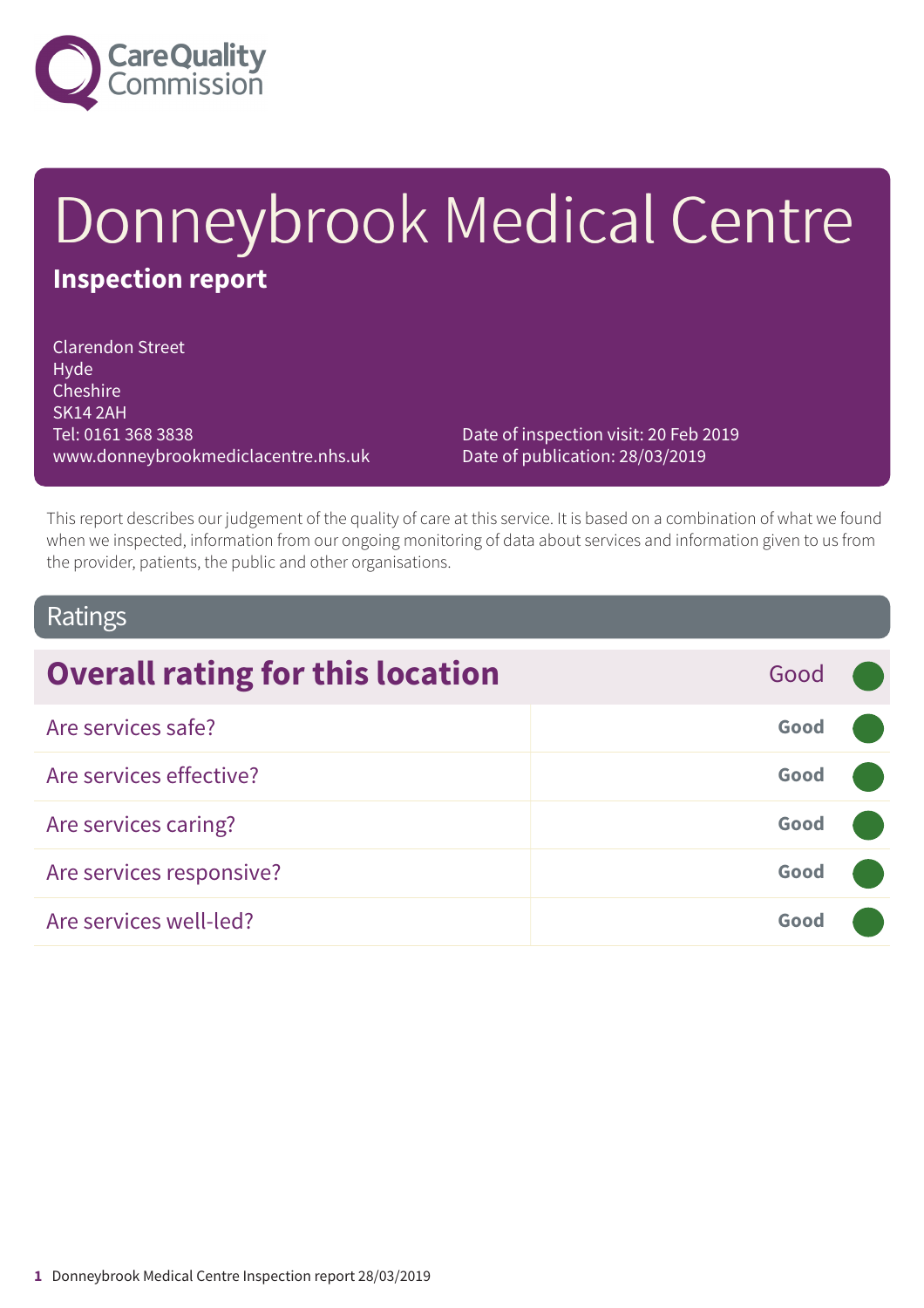

# Donneybrook Medical Centre **Inspection report**

Clarendon Street Hyde **Cheshire** SK14 2AH Tel: 0161 368 3838 www.donneybrookmediclacentre.nhs.uk

Date of inspection visit: 20 Feb 2019 Date of publication: 28/03/2019

This report describes our judgement of the quality of care at this service. It is based on a combination of what we found when we inspected, information from our ongoing monitoring of data about services and information given to us from the provider, patients, the public and other organisations.

### Ratings

| <b>Overall rating for this location</b> | Good |  |
|-----------------------------------------|------|--|
| Are services safe?                      | Good |  |
| Are services effective?                 | Good |  |
| Are services caring?                    | Good |  |
| Are services responsive?                | Good |  |
| Are services well-led?                  | Good |  |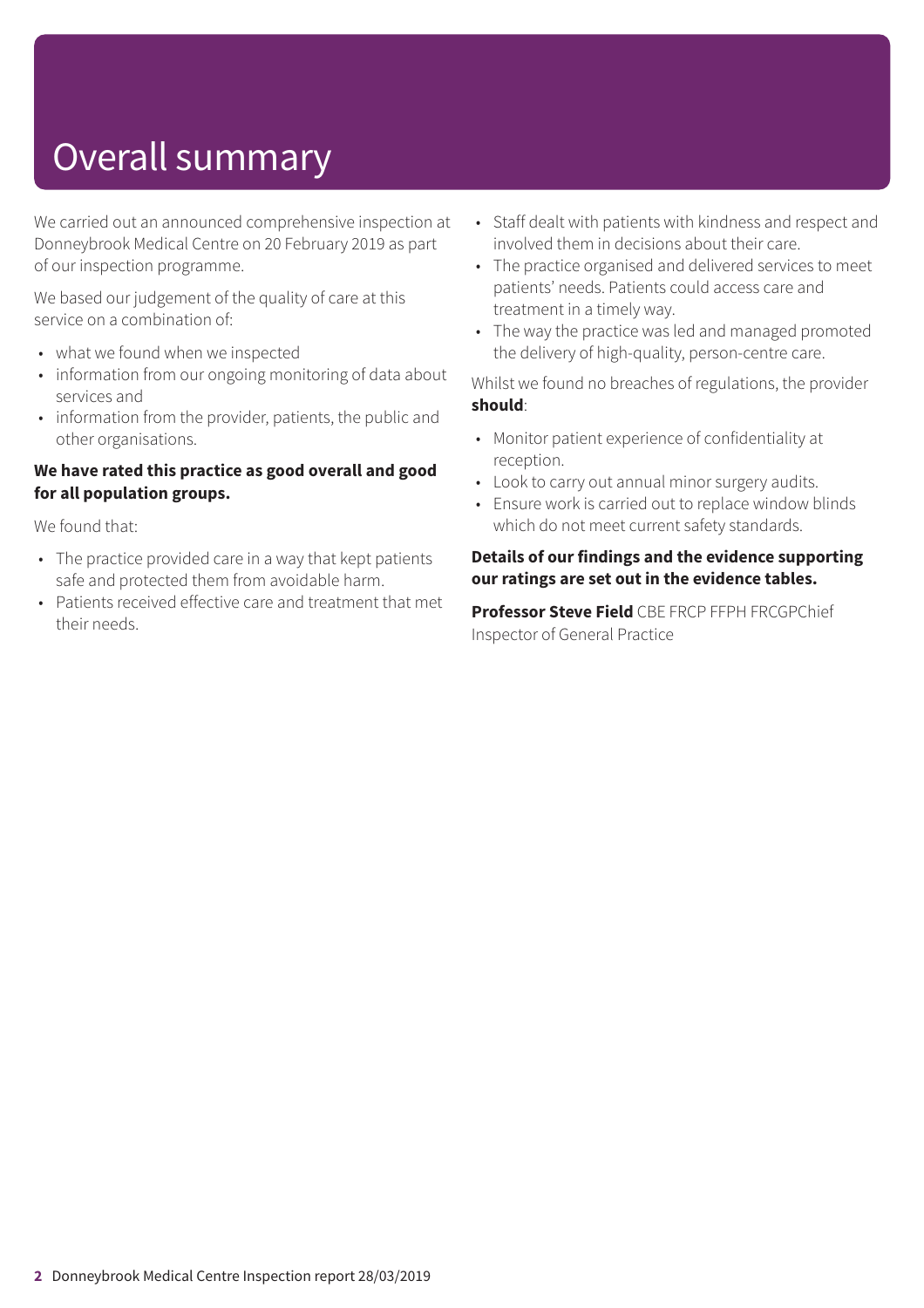## Overall summary

We carried out an announced comprehensive inspection at Donneybrook Medical Centre on 20 February 2019 as part of our inspection programme.

We based our judgement of the quality of care at this service on a combination of:

- what we found when we inspected
- information from our ongoing monitoring of data about services and
- information from the provider, patients, the public and other organisations.

#### **We have rated this practice as good overall and good for all population groups.**

We found that:

- The practice provided care in a way that kept patients safe and protected them from avoidable harm.
- Patients received effective care and treatment that met their needs.
- Staff dealt with patients with kindness and respect and involved them in decisions about their care.
- The practice organised and delivered services to meet patients' needs. Patients could access care and treatment in a timely way.
- The way the practice was led and managed promoted the delivery of high-quality, person-centre care.

Whilst we found no breaches of regulations, the provider **should**:

- Monitor patient experience of confidentiality at reception.
- Look to carry out annual minor surgery audits.
- Ensure work is carried out to replace window blinds which do not meet current safety standards.

#### **Details of our findings and the evidence supporting our ratings are set out in the evidence tables.**

**Professor Steve Field** CBE FRCP FFPH FRCGPChief Inspector of General Practice